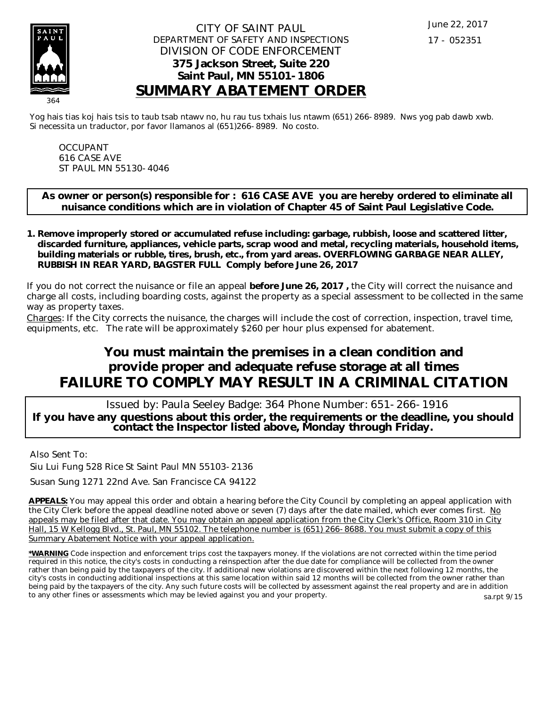

### CITY OF SAINT PAUL DEPARTMENT OF SAFETY AND INSPECTIONS DIVISION OF CODE ENFORCEMENT **375 Jackson Street, Suite 220 Saint Paul, MN 55101-1806 SUMMARY ABATEMENT ORDER**

Yog hais tias koj hais tsis to taub tsab ntawv no, hu rau tus txhais lus ntawm (651) 266-8989. Nws yog pab dawb xwb. Si necessita un traductor, por favor llamanos al (651)266-8989. No costo.

OCCUPANT 616 CASE AVE ST PAUL MN 55130-4046

**As owner or person(s) responsible for : 616 CASE AVE you are hereby ordered to eliminate all nuisance conditions which are in violation of Chapter 45 of Saint Paul Legislative Code.**

**Remove improperly stored or accumulated refuse including: garbage, rubbish, loose and scattered litter, 1. discarded furniture, appliances, vehicle parts, scrap wood and metal, recycling materials, household items, building materials or rubble, tires, brush, etc., from yard areas. OVERFLOWING GARBAGE NEAR ALLEY, RUBBISH IN REAR YARD, BAGSTER FULL Comply before June 26, 2017**

If you do not correct the nuisance or file an appeal **before June 26, 2017 ,** the City will correct the nuisance and charge all costs, including boarding costs, against the property as a special assessment to be collected in the same way as property taxes.

Charges: If the City corrects the nuisance, the charges will include the cost of correction, inspection, travel time, equipments, etc. The rate will be approximately \$260 per hour plus expensed for abatement.

# **You must maintain the premises in a clean condition and provide proper and adequate refuse storage at all times FAILURE TO COMPLY MAY RESULT IN A CRIMINAL CITATION**

 Issued by: Paula Seeley Badge: 364 Phone Number: 651-266-1916 **If you have any questions about this order, the requirements or the deadline, you should contact the Inspector listed above, Monday through Friday.**

Also Sent To:

Siu Lui Fung 528 Rice St Saint Paul MN 55103-2136

Susan Sung 1271 22nd Ave. San Francisce CA 94122

**APPEALS:** You may appeal this order and obtain a hearing before the City Council by completing an appeal application with the City Clerk before the appeal deadline noted above or seven (7) days after the date mailed, which ever comes first. No appeals may be filed after that date. You may obtain an appeal application from the City Clerk's Office, Room 310 in City Hall, 15 W Kellogg Blvd., St. Paul, MN 55102. The telephone number is (651) 266-8688. You must submit a copy of this Summary Abatement Notice with your appeal application.

**\*WARNING** Code inspection and enforcement trips cost the taxpayers money. If the violations are not corrected within the time period required in this notice, the city's costs in conducting a reinspection after the due date for compliance will be collected from the owner rather than being paid by the taxpayers of the city. If additional new violations are discovered within the next following 12 months, the city's costs in conducting additional inspections at this same location within said 12 months will be collected from the owner rather than being paid by the taxpayers of the city. Any such future costs will be collected by assessment against the real property and are in addition to any other fines or assessments which may be levied against you and your property. sa.rpt 9/15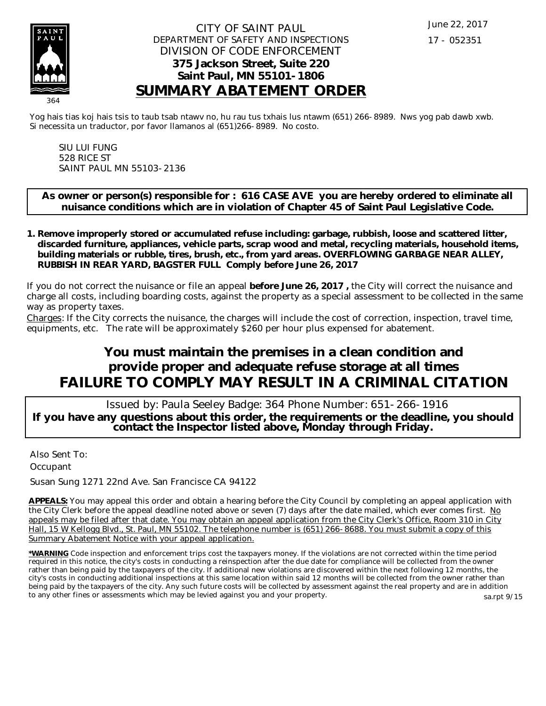

### CITY OF SAINT PAUL DEPARTMENT OF SAFETY AND INSPECTIONS DIVISION OF CODE ENFORCEMENT **375 Jackson Street, Suite 220 Saint Paul, MN 55101-1806 SUMMARY ABATEMENT ORDER**

Yog hais tias koj hais tsis to taub tsab ntawv no, hu rau tus txhais lus ntawm (651) 266-8989. Nws yog pab dawb xwb. Si necessita un traductor, por favor llamanos al (651)266-8989. No costo.

SIU LUI FUNG 528 RICE ST SAINT PAUL MN 55103-2136

**As owner or person(s) responsible for : 616 CASE AVE you are hereby ordered to eliminate all nuisance conditions which are in violation of Chapter 45 of Saint Paul Legislative Code.**

**Remove improperly stored or accumulated refuse including: garbage, rubbish, loose and scattered litter, 1. discarded furniture, appliances, vehicle parts, scrap wood and metal, recycling materials, household items, building materials or rubble, tires, brush, etc., from yard areas. OVERFLOWING GARBAGE NEAR ALLEY, RUBBISH IN REAR YARD, BAGSTER FULL Comply before June 26, 2017**

If you do not correct the nuisance or file an appeal **before June 26, 2017 ,** the City will correct the nuisance and charge all costs, including boarding costs, against the property as a special assessment to be collected in the same way as property taxes.

Charges: If the City corrects the nuisance, the charges will include the cost of correction, inspection, travel time, equipments, etc. The rate will be approximately \$260 per hour plus expensed for abatement.

# **You must maintain the premises in a clean condition and provide proper and adequate refuse storage at all times FAILURE TO COMPLY MAY RESULT IN A CRIMINAL CITATION**

 Issued by: Paula Seeley Badge: 364 Phone Number: 651-266-1916 **If you have any questions about this order, the requirements or the deadline, you should contact the Inspector listed above, Monday through Friday.**

Also Sent To: **Occupant** 

Susan Sung 1271 22nd Ave. San Francisce CA 94122

**APPEALS:** You may appeal this order and obtain a hearing before the City Council by completing an appeal application with the City Clerk before the appeal deadline noted above or seven  $(7)$  days after the date mailed, which ever comes first. No appeals may be filed after that date. You may obtain an appeal application from the City Clerk's Office, Room 310 in City Hall, 15 W Kellogg Blvd., St. Paul, MN 55102. The telephone number is (651) 266-8688. You must submit a copy of this Summary Abatement Notice with your appeal application.

**\*WARNING** Code inspection and enforcement trips cost the taxpayers money. If the violations are not corrected within the time period required in this notice, the city's costs in conducting a reinspection after the due date for compliance will be collected from the owner rather than being paid by the taxpayers of the city. If additional new violations are discovered within the next following 12 months, the city's costs in conducting additional inspections at this same location within said 12 months will be collected from the owner rather than being paid by the taxpayers of the city. Any such future costs will be collected by assessment against the real property and are in addition to any other fines or assessments which may be levied against you and your property. sa.rpt 9/15